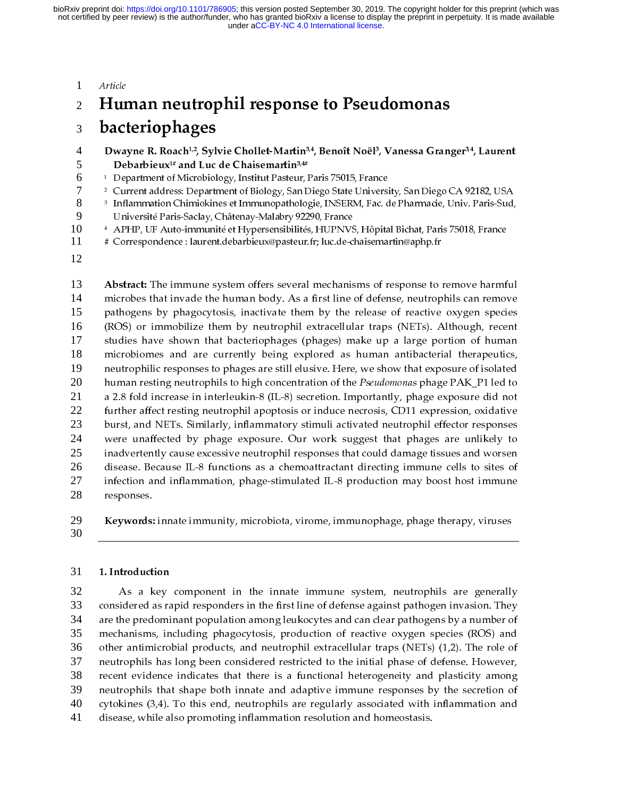#### <sup>1</sup>Article

#### <sup>2</sup>Human neutrophil response to Pseudomonas

# 3 **bacteriophages**<br>4 Dwavne R. Roach<sup>1,2</sup>, Svl

- 4 Dwayne R. Roach<sup>1,2</sup>, Sylvie Chollet-Martin<sup>3,4</sup>, Benoît Noël<sup>3</sup>, Vanessa Granger<sup>3,4</sup>, Laurent<br>5 Debarbieux<sup>1#</sup> and Luc de Chaisemartin<sup>3,4#</sup>
- 5 **Debarbieux<sup>1#</sup>** and Luc de Chaisemartin<sup>3,4#</sup><br>6 <sup>1</sup> Department of Microbiology, Institut Pasteur,  $1$  Department of Microbiology, Institut Pasteur, Paris 75015, France<br>  $7$   $2$  Current address: Department of Biology, San Diego State Univers
- <sup>2</sup> Current address: Department of Biology, San Diego State University, San Diego CA 92182, USA<br>8<sup>3</sup> Inflammation Chimiokines et Immunopathologie, INSERM, Fac. de Pharmacie, Univ. Paris-Sud,
- <sup>3</sup> 8 Inflammation Chimiokines et Immunopathologie, INSERM, Fac. de Pharmacie, Univ. Paris-Sud, 9 Université Paris-Saclay, Châtenay-Malabry 92290, France
- 10 <sup>4</sup> APHP, UF Auto-immunité et Hypersensibilités, HUPNVS, Hôpital Bichat, Paris 75018, France<br>11 # Correspondence : laurent.debarbieux@pasteur.fr: luc.de-chaisemartin@aphp.fr
- # Correspondence : laurent.debarbieux@pasteur.fr; luc.de-chaisemartin@aphp.fr
- 12

13 Abstract: The immune system offers several mechanisms of response to remove harmful<br>14 microbes that invade the human body. As a first line of defense, neutrophils can remove 14 pathogens by phagocytosis, inactivate them by the release of reactive oxygen species 15 (ROS) or immobilize them by neutrophil extracellular traps (NETs). Although, recent 16 studies have shown that bacteriophages (phages) make up a large portion of human 17 microbiomes and are currently being explored as human antibacterial therapeutics, 18 neutrophilic responses to phages are still elusive. Here, we show that exposure of isolated 19 human resting neutrophils to high concentration of the *Pseudomonas* phage PAK\_P1 led to<br>21 a 2.8 fold increase in interleukin-8 (IL-8) secretion. Importantly, phage exposure did not<br>22 further affect resting neutrophil ap 21 a 2.8 fold increase in interleukin-8 (IL-8) secretion. Importantly, phage exposure did not 22 burst, and NETs. Similarly, inflammatory stimuli activated neutrophil effector responses 23 were unaffected by phage exposure. Our work suggest that phages are unlikely to 24 inadvertently cause excessive neutrophil responses that could damage tissues and worsen 25 disease. Because IL-8 functions as a chemoattractant directing immune cells to sites of 26 infection and inflammation, phage-stimulated IL-8 production may boost host immune responses. 27 infection and inflammation, pringle-stimulated IL-8 production may be considered immune 28

- re<sub>r</sub> enses.<br>Keywords: 29 Keywords: innate immunity, microbiota, virome, immunophage, phage therapy, viruses<br>30
- 30

#### 31 1. Introduction

32 As a key component in the innate immune system, neutrophils are generally considered as rapid responders in the first line of defense against pathogen invasion. They 33 are the predominant population among leukocytes and can clear pathogens by a number of 34 mechanisms, including phagocytosis, production of reactive oxygen species (ROS) and 35 other antimicrobial products, and neutrophil extracellular traps (NETs) (1,2). The role of 36 neutrophils has long been considered restricted to the initial phase of defense. However, 37 recent evidence indicates that there is a functional heterogeneity and plasticity among 38 neutrophils that shape both innate and adaptive immune responses by the secretion of 39 cytokines  $(3,4)$ . To this end, neutrophils are regularly associated with inflammation and 40 disease, while also promoting inflammation resolution and homeostasis. 41 disease, while also promoting inflammation resolution and homeostasis.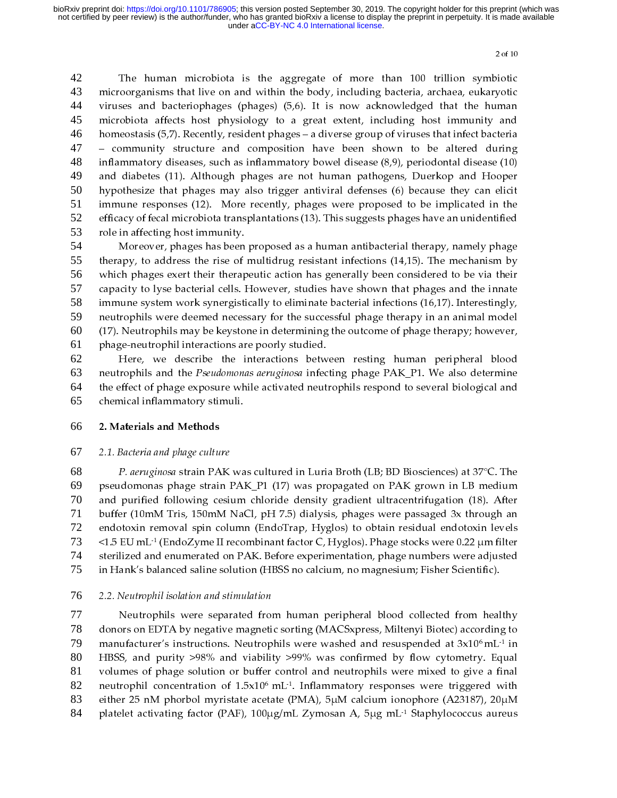42 The human microbiota is the aggregate of more than 100 trillion symbiotic microorganisms that live on and within the body, including bacteria, archaea, eukaryotic 43 viruses and bacteriophages (phages)  $(5,6)$ . It is now acknowledged that the human 44 microbiota affects host physiology to a great extent, including host immunity and 45 homeostasis  $(5,7)$ . Recently, resident phages  $-$  a diverse group of viruses that infect bacteria 46 - community structure and composition have been shown to be altered during 47 inflammatory diseases, such as inflammatory bowel disease  $(8,9)$ , periodontal disease  $(10)$ 48 and diabetes (11). Although phages are not human pathogens, Duerkop and Hooper<br>hypothesize that phages may also trigger antiviral defenses (6) because they can elicit 49 and diabetes (12). Thereager progress are not human pathogens, Duerkop and Hooper<br>hypothesize that phages may also trigger antiviral defenses (6) because they can elicit<br>immune responses (12). More recently, phages were pr 50  $\lim_{t \to \infty}$  for the phages were proposed to be implicated in the immune responses (12). More recently, phages were proposed to be implicated in the efficacy of fecal microbiota transplantations (13). This suggests phages 51 efficacy of fecal microbiota transplantations (13). This suggests phages have an unidentified<br>role in affecting host immunity. 52 53

Moreover, phages has been proposed as a human antibacterial therapy, namely phage Moreover, phages has been<br>therapy, to address the rise of 54 Moreover, phages the rise of multidrug resistant infections (14,15). The mechanism by<br>th phages exert their therapeutic action has generally been considered to be via their 55 which phages exert their therapeutic action has generally been considered to be via their 56 capacity to lyse bacterial cells. However, studies have shown that phages and the innate 57 immune system work synergistically to eliminate bacterial infections  $(16.17)$ . Interestingly, 58 neutrophils were deemed necessary for the successful phage therapy in an animal model 59  $(17)$ . Neutrophils may be keystone in determining the outcome of phage therapy; however, phage-neutrophil interactions are poorly studied. 60 (17). Neutrophils may be keystone in determining the outcome of phage therapy; however, 61

 $\overrightarrow{p}$  are positive the interactions betw<br>neutrophils and the *Pseudomonas aeruginosa* infec 62 neutrophils and the Pseudomonas aeruginosa infecting phage PAK\_P1. We also determine 63 the effect of phage exposure while activated neutrophils respond to several biological and 64 chemical inflammatory stimuli. 65

## expanding inflammations of the minimum stimuli.<br>
66 2. Materials and Methods

#### 67 2.1. Bacteria and phage culture

68 P. aeruginosa strain PAK was cultured in Luria Broth (LB; BD Biosciences) at 37°C. The pseudomonas phage strain PAK\_P1 (17) was propagated on PAK grown in LB medium 69 and purified following cesium chloride density gradient ultracentrifugation (18). After 70 buffer (10mM Tris, 150mM NaCl, pH 7.5) dialysis, phages were passaged 3x through an 71 endotoxin removal spin column (EndoTrap, Hyglos) to obtain residual endotoxin levels 72  $\le$ 1.5 EU mL<sup>1</sup> (EndoZyme II recombinant factor C, Hyglos). Phage stocks were 0.22  $\mu$ m filter  $1.5$  EU mL<sup>-1</sup> (EndoZyme II recombinant factor C, Hyglos). Phage stocks were 0.22  $\mu$ m filter<br>
74 sterilized and enumerated on PAK. Before experimentation, phage numbers were adjusted 74 in Hank's balanced saline solution (HBSS no calcium, no magnesium; Fisher Scientific). 75

## in Hank's balanced saline solution (HBSS no calcium, no magnesium; Fisher Scientific). 76 2.2. Neutrophil isolation and stimulation

77 Neutrophils were separated from human peripheral blood collected from healthy donors on EDTA by negative magnetic sorting (MACSxpress, Miltenyi Biotec) according to 78 manufacturer's instructions. Neutrophils were washed and resuspended at 3x10<sup>6</sup> mL<sup>-1</sup> in<br>80 HBSS, and purity >98% and viability >99% was confirmed by flow cytometry. Equal<br>81 volumes of phage solution or buffer control an 80 HBSS, and purity >98% and viability >99% was confirmed by flow cytometry. Equal volumes of phage solution or buffer control and neutrophils were mixed to give a final 81 neutrophil concentration of  $1.5x10^6$  mL<sup>-1</sup>. Inflammatory responses were triggered with neutrophil concentration of  $1.5x10^6$  mL<sup>-1</sup>. Inflammatory responses were triggered with<br>
83 either 25 nM phorbol myristate acetate (PMA), 5 $\mu$ M calcium ionophore (A23187), 20 $\mu$ M<br>
84 platelet activating factor (PAF). 83 platelet activating factor (PAF),  $100\mu g/mL$  Zymosan A, 5 $\mu$ g mL<sup>-1</sup> Staphylococcus aureus auteus platelet activating factor (PAF),  $100\mu g/mL$  Zymosan A, 5 $\mu$ g mL<sup>-1</sup> Staphylococcus aureus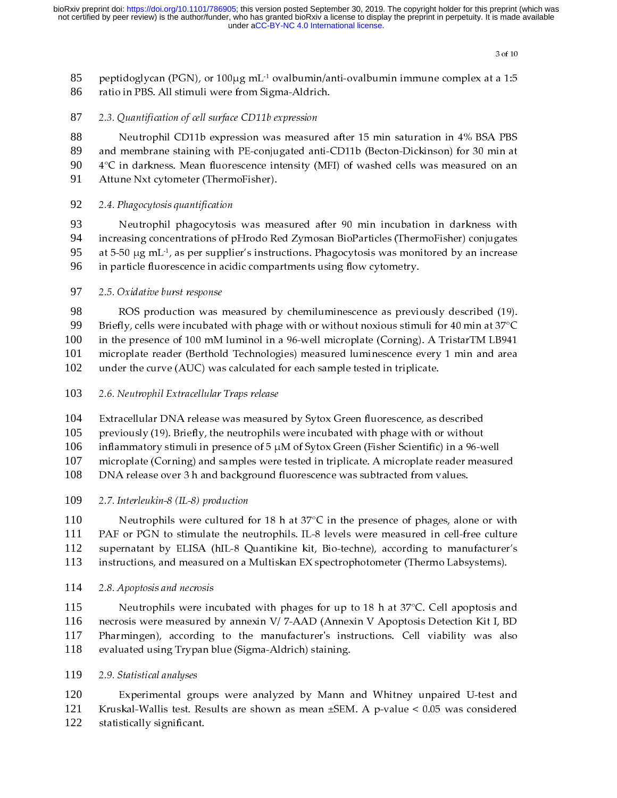85 peptidoglycan (PGN), or  $100\mu$ g mL<sup>-1</sup> ovalbumin/anti-ovalbumin immune complex at a 1:5<br>86 ratio in PBS. All stimuli were from Sigma-Aldrich. 86

e<br>87 2.3. Quantification of cell surface CD11b expression

88 Neutrophil CD11b expression was measured after 15 min saturation in 4% BSA PBS and membrane staining with PE-conjugated anti-CD11b (Becton-Dickinson) for 30 min at 89  $4^{\circ}$ C in darkness. Mean fluorescence intensity (MFI) of washed cells was measured on an 90 Attune Nxt cytometer (ThermoFisher). 91

### Attune Nxt cytometer (ThermoFisher). 92 2.4. Phagocytosis quantification

93 Neutrophil phagocytosis was measured after 90 min incubation in darkness with increasing concentrations of pHrodo Red Zymosan BioParticles (ThermoFisher) conjugates 94 at 5-50  $\mu$ g mL<sup>-1</sup>, as per supplier's instructions. Phagocytosis was monitored by an increase<br>96 in particle fluorescence in acidic compartments using flow cytometry. 96

### in particle fluorescence in acidic compartments using flow cytometry. 97 2.5. Oxidative burst response

98 ROS production was measured by chemiluminescence as previously described (19).<br>Briefly, cells were incubated with phage with or without noxious stimuli for 40 min at  $37^{\circ}$ C 99 in the presence of 100 mM luminol in a 96-well microplate (Corning). A TristarTM LB941 100 microplate reader (Berthold Technologies) measured luminescence every 1 min and area 101 under the curve (AUC) was calculated for each sample tested in triplicate. 102

under the curve (AUC) was calculated in the curve of the curve in the curve of the curve of the curve of the curve of the curve of the curve of the curve of the curve of the curve of the curve of the curve of the curve of

104 Extracellular DNA release was measured by Sytox Green fluorescence, as described previously (19). Briefly, the neutrophils were incubated with phage with or without

105

inflammatory stimuli in presence of  $5 \mu M$  of Sytox Green (Fisher Scientific) in a 96-well 106

microplate (Corning) and samples were tested in triplicate. A microplate reader measured 107

DNA release over 3 h and background fluorescence was subtracted from values. 108

109 2.7. Interleukin-8 (IL-8) production

110 Neutrophils were cultured for 18 h at 37°C in the presence of phages, alone or with PAF or PGN to stimulate the neutrophils. IL-8 levels were measured in cell-free culture 111 supernatant by ELISA (hIL-8 Quantikine kit, Bio-techne), according to manufacturer's 112 instructions, and measured on a Multiskan EX spectrophotometer (Thermo Labsystems). 113

instructions, and measured on a Multislation EX spectrometer (Thermo Labsystems).<br>2.8. Apoptosis and necrosis 114 2.8. Apoptosis and necrosis

115 Neutrophils were incubated with phages for up to 18 h at 37°C. Cell apoptosis and necrosis were measured by annexin V/ 7-AAD (Annexin V Apoptosis Detection Kit I, BD 116 Pharmingen), according to the manufacturer's instructions. Cell viability was also evaluated using Trypan blue (Sigma-Aldrich) staining. 117 118

evalue (Sigma-Aldrich) statistical analyses<br>
119 2.9. Statistical analyses

120 Experimental groups were analyzed by Mann and Whitney unpaired U-test and Kruskal-Wallis test. Results are shown as mean ±SEM. A p-value < 0.05 was considered statistically significant. 121 Statistically significant. Results are shown as means of  $\frac{1}{\sqrt{2}}$ 122  $s_{\text{max}}$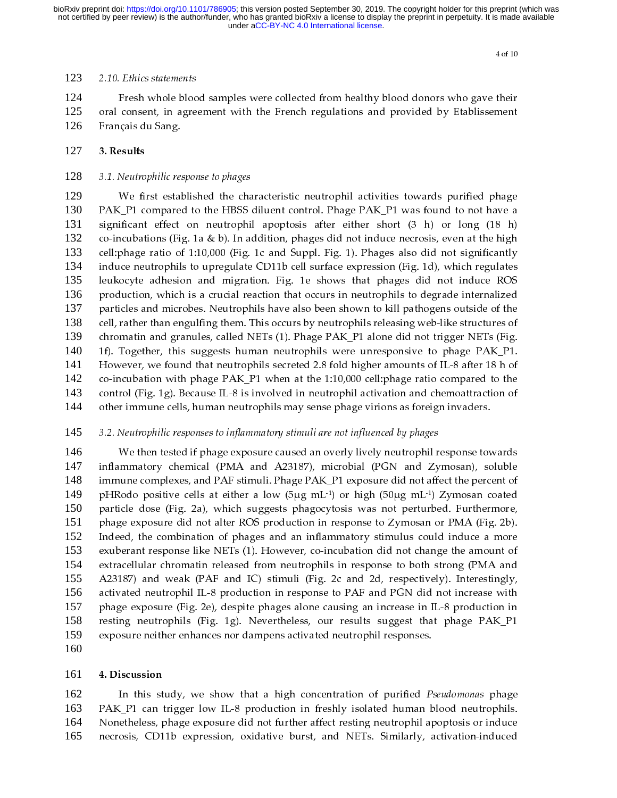#### 123 2.10. Ethics statements

124 Fresh whole blood samples were collected from healthy blood donors who gave their oral consent, in agreement with the French regulations and provided by Etablissement Français du Sang. 125 oral consent, in agreement with the French regulations and provided by Etablissement 126

## $127$  3. Results

#### 128 3.1. Neutrophilic response to phages

129 We first established the characteristic neutrophil activities towards purified phage PAK\_P1 compared to the HBSS diluent control. Phage PAK\_P1 was found to not have a significant effect on neutrophil apoptosis after either 130 exact the HBSS discussed to the HBSS difference of the HBSS discussed in the HBSS discussed in the HBSS discussed in co-incubations (Fig. 1a & b). In addition, phages did not induce necrosis, even at the high 131  $\overrightarrow{c}$  o-incubations (Fig. 1a & b). In addition, phages did not induce necrosis, even at the high<br>cell:phage ratio of 1:10,000 (Fig. 1c and Suppl. Fig. 1). Phages also did not significantly 132 cell: phage ratio of  $1:10,000$  (Fig. 1c and Suppl. Fig. 1). Phages also did not significantly 133 induce neutrophils to upregulate CD11b cell surface expression (Fig. 1d), which regulates 134 leukocyte adhesion and migration. Fig. 1e shows that phages did not induce ROS 135 production, which is a crucial reaction that occurs in neutrophils to degrade internalized 136 particles and microbes. Neutrophils have also been shown to kill pathogens outside of the 137 cell, rather than engulfing them. This occurs by neutrophils releasing web-like structures of 138 chromatin and granules, called NETs (1). Phage PAK\_P1 alone did not trigger NETs (Fig. 139 1f). Together, this suggests human neutrophils were unresponsive to phage  $PAK_P1$ . 140 However, we found that neutrophils secreted 2.8 fold higher amounts of IL-8 after 18 h of 141 co-incubation with phage  $PAK_P1$  when at the 1:10,000 cell:phage ratio compared to the 142 control (Fig. 1g). Because IL-8 is involved in neutrophil activation and chemoattraction of 143 other immune cells, human neutrophils may sense phage virions as foreign invaders. 144

## other immune cells, human neutrophile may sense phage virions as foreign invariants.<br>145 3.2. Neutrophilic responses to inflammatory stimuli are not influenced by phages

146 We then tested if phage exposure caused an overly lively neutrophil response towards inflammatory chemical (PMA and A23187), microbial (PGN and Zymosan), soluble 147 immune complexes, and PAF stimuli. Phage PAK P1 exposure did not affect the percent of 148 pHRodo positive cells at either a low (5µg mL<sup>1</sup>) or high (50µg mL<sup>1</sup>) Zymosan coated 149 pHRodo positive cells at either a low (5 $\mu$ g mL<sup>-1</sup>) or high (50 $\mu$ g mL<sup>-1</sup>) Zymosan coated 150 particle dose (Fig. 2a), which suggests phagocytosis was not perturbed. Furthermore, 150 phage exposure did not alter ROS production in response to Zymosan or PMA (Fig. 2b). 151 Indeed, the combination of phages and an inflammatory stimulus could induce a more 152 exuberant response like NETs (1). However, co-incubation did not change the amount of 153 extracellular chromatin released from neutrophils in response to both strong (PMA and 154 A23187) and weak (PAF and IC) stimuli (Fig. 2c and 2d, respectively). Interestingly, 155 activated neutrophil IL-8 production in response to PAF and PGN did not increase with 156 phage exposure (Fig. 2e), despite phages alone causing an increase in IL-8 production in 157 resting neutrophils (Fig. 1g). Nevertheless, our results suggest that phage PAK P1 158 exposure neither enhances nor dampens activated neutrophil responses. 159 exposure neither enhances nor dampens activated neutrophil responses.<br>The contraction of the contraction of the contraction of the contraction of the contraction of the contraction

160

#### 161 4. Discussion

162 In this study, we show that a high concentration of purified *Pseudomonas* phage PAK\_P1 can trigger low IL-8 production in freshly isolated human blood neutrophils. 163 Nonetheless, phage exposure did not further affect resting neutrophil apoptosis or induce 164 necrosis, CD11b expression, oxidative burst, and NETs. Similarly, activation-induced 165 necrosis, CD11b expression, oxidative burst, and NETs. Similarly, and NETs. Similarly, activation-induced burs<br>The similar line of the Similar line of the Similar line of the Similar line of the Similar line of the Simila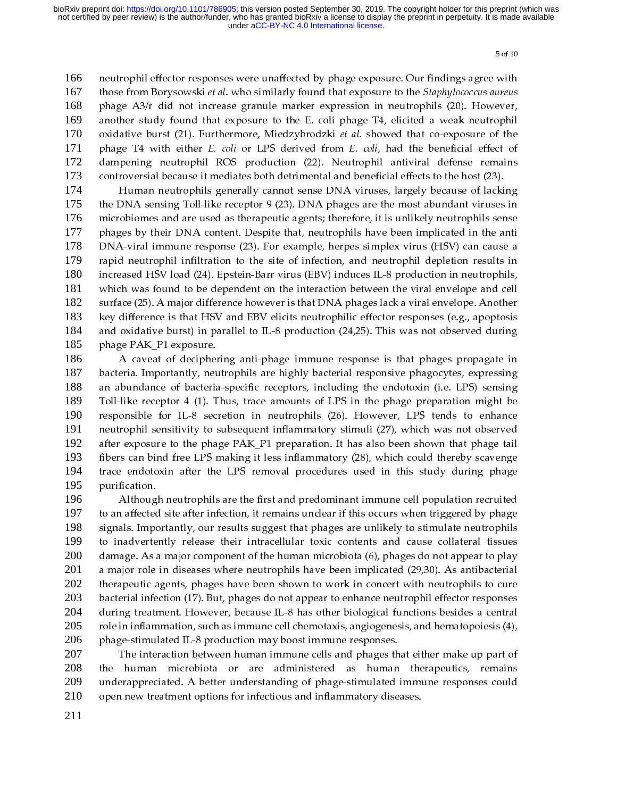166 neutrophil effector responses were unaffected by phage exposure. Our findings agree with those from Borysowski et al. who similarly found that exposure to the *Staphylococcus aureus* 167 phage  $A3/r$  did not increase granule marker expression in neutrophils (20). However, 168 another study found that exposure to the E. coli phage T4, elicited a weak neutrophil 169 oxidative burst (21). Furthermore, Miedzybrodzki et al. showed that co-exposure of the 170 phage T4 with either E. coli or LPS derived from E. coli, had the beneficial effect of 171 dampening neutrophil ROS production (22). Neutrophil antiviral defense remains 172 controversial because it mediates both detrimental and beneficial effects to the host (23).<br>Human neutrophils generally cannot sense DNA viruses, largely because of lacking 173

controversial because it mediates both determinental and beneficial effects of lacki<br>the DNA sensing Toll-like receptor 9 (23). DNA phages are the most abundant viruses 174  $\overline{\text{P}}$ DNA sensing Toll-like receptor 9 (23). DNA phages are the most abundant viruses in<br>obiomes and are used as therapeutic agents; therefore, it is unlikely neutrophils sense 175 microbiomes and are used as therapeutic agents; therefore, it is unlikely neutrophils sense 176 phages by their DNA content. Despite that, neutrophils have been implicated in the anti 177 DNA-viral immune response (23). For example, herpes simplex virus (HSV) can cause a 178 rapid neutrophil infiltration to the site of infection, and neutrophil depletion results in 179 increased HSV load (24). Epstein-Barr virus (EBV) induces IL-8 production in neutrophils, 180 which was found to be dependent on the interaction between the viral envelope and cell 181 surface (25). A major difference however is that DNA phages lack a viral envelope. Another 182 key difference is that HSV and EBV elicits neutrophilic effector responses (e.g., apoptosis 183 and oxidative burst) in parallel to IL-8 production (24,25). This was not observed during phage PAK\_P1 exposure. 184 185

A caveat of deciphering anti-phage immune response is that phages propagate in phage PAK\_P1 exposure. 186 A caveat of deciphering and pange immune response is that panges propagate in<br>The case is that phages in that phages is that is that phages phages pressing<br>bundance of bacteria-specific receptors, including the endotoxin ( 187 an abundance of bacteria-specific receptors, including the endotoxin (i.e. LPS) sensing 188 Toll-like receptor  $4$  (1). Thus, trace amounts of LPS in the phage preparation might be 189 responsible for IL-8 secretion in neutrophils (26). However, LPS tends to enhance 190 neutrophil sensitivity to subsequent inflammatory stimuli (27), which was not observed 191 after exposure to the phage PAK\_P1 preparation. It has also been shown that phage tail 192 fibers can bind free LPS making it less inflammatory (28), which could thereby scavenge 193 trace endotoxin after the LPS removal procedures used in this study during phage purification. 194 195

Although neutrophils are the first and predominant immune cell population recruited r<br>Althoug<br>to an affected 196 although in the first after infection, it remains unclear if this occurs when triggered by phage<br>als. Importantly, our results suggest that phages are unlikely to stimulate neutrophils 197 signals. Importantly, our results suggest that phages are unlikely to stimulate neutrophils 198 to inadvertently release their intracellular toxic contents and cause collateral tissues 199 damage. As a major component of the human microbiota (6), phages do not appear to play 200 a major role in diseases where neutrophils have been implicated  $(29,30)$ . As antibacterial 201 therapeutic agents, phages have been shown to work in concert with neutrophils to cure 202 bacterial infection (17). But, phages do not appear to enhance neutrophil effector responses 203 during treatment. However, because IL-8 has other biological functions besides a central 204 role in inflammation, such as immune cell chemotaxis, angiogenesis, and hematopoiesis (4), phage-stimulated IL-8 production may boost immune responses. 205 phage-stimulated IL-8 production may boost immune responses.<br>The interaction between human immune cells and phages that either make up part of 206

phage-statement is a production may be considered IS-and phages the<br>the human microbiota or are administered as human 207 the human microbiota or are administered as human therapeutics, remains 208 underappreciated. A better understanding of phage-stimulated immune responses could 209 open new treatment options for infectious and inflammatory diseases. 210 open new treatment options for inflammations for inflammations  $\frac{1}{2}$ 

211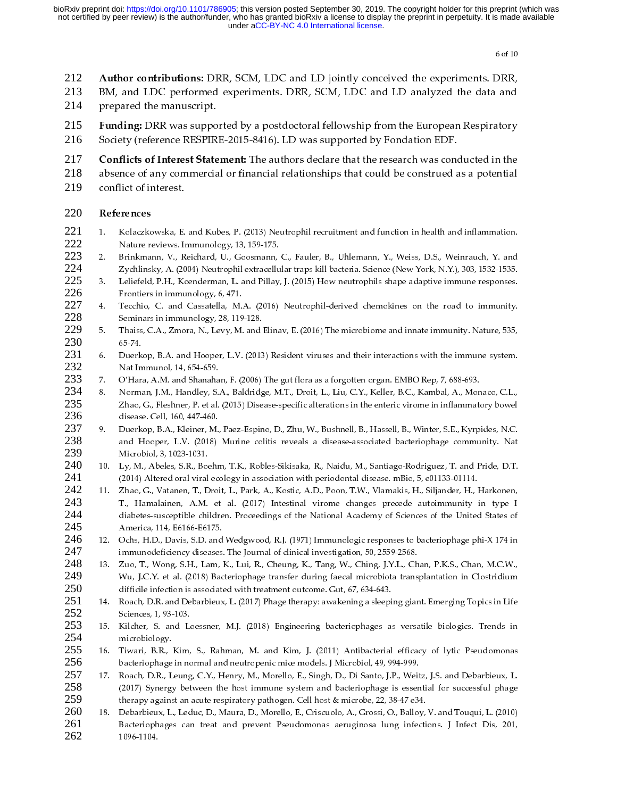- 
- 212 Author contributions: DRR, SCM, LDC and LD jointly conceived the experiments. DRR, 213 BM, and LDC performed experiments. DRR, SCM, LDC and LD analyzed the data and prepared the manuscript. 213 BM, and LDC performed experiments. DRR, SCM, LDC and LD analyzed the data and<br>214 prepared the manuscript.<br>215 Funding: DRR was supported by a postdoctoral fellowship from the European Respiratory
- 214
- prepared the manuscript.<br>**Funding:** DRR was suppo
- 215 Funding: DRR was supported by a postdoctoral fellowship from the European Respiratory<br>216 Society (reference RESPIRE-2015-8416). LD was supported by Fondation EDF.<br>217 Guillette Alexandr Carlos III and a controller t 216
- Solution (referrence Research was concentrated by Fondation EDF.<br>Conflicts of Interest Statement: The authors declare that the research was concentration of
- 217 Conflicts of Interest Statement: The authors declare that the research was conducted in the<br>218 absence of any commercial or financial relationships that could be construed as a potential<br>219 conflict of interest. 218
- conflict of interest. 219

### conflict of interest.<br>References

- 220 **References**<br>221 1. Kolaczko<br>222 Mature.re 221 222
- 223 224
- 225 226
- 227 228
- 229 230
- 231 232
- 233
- 234 235 236
- 237 238 239
- 240 241
- Nature reviews. Immunology, 13, 159-175.<br>
2. Brithmann, V., Weiss, D.S., Weinrauch, V. and Zychinasty, A. (2004) Neutrophil extracellular traps kill bacteria. Science (New York, N.Y.).303, 1532-1535.<br>
3. Leliefeld, P.H., K Brinkmann, V., Reichard, U., Goosmann, Zychlinsky, A. (2004) Neutrophil extracellu<br>Leliefeld, P.H., Koenderman, L. and Pillay,<br>Frontiers in immunology, 6, 471.<br>Tecchio, C. and Cassatella, M.A. (2016)<br>Seminars in immunology 2. Brinkmann, Lang, Hard, Cometa, The Philosophile extracellular traps kill bacteria. Science (New York, N.Y.), 303, 1532-1535.<br>
2. Leifeld, P.H., Koenderman, L. and Pillay, J. (2015) How neutrophils shape adaptive immume Leliefeld, P.H., Koenderman, L. and Pillay, J. (2015) How neutrophils shape adaptive immune responses.<br>Frechies in immunology, 6, 471.<br>Their in immunology, 28, 119-128.<br>Techies, C. and Cassaella, M.A. (2016) Neutrophil-der 1. Techio, C. and Glossellal, M.A., (2016) Ivela Collishers in the multiple increding of the Forechions C. and Cassatellal, M.A., (2016) Neutrophil-derived demokines on the road to immunity. Seminars in immunology, 28, 119 Tecchio, C. and Cassatella, M.<br>Seminars in immunology, 28, 119<br>Thaiss, C.A., Zmora, N., Levy, M.<br>65-74.<br>Duerkop, B.A. and Hooper, L.V.<br>Nat Immunol, 14, 654-659.<br>O'Hara, A.M. and Shanahan, F. (2<br>Norman, J.M., Handley, S.A., Seminars in immunology, 28, 119-128.<br>
5. Thaiss, C.A., Zmora, N., Levy, M. and Elinav, E. (2016) The microbiome and innate immunity. Nature, 535,<br>
6. Duerkop, B.A. and Hooper, L.V. (2013) Resident viruses and their interac Thaiss, C.A., Zmora, N., Levy, M. and 165-74.<br>
Duerkop, B.A. and Hooper, L.V. (2013<br>
Nat Immunol, 14, 654-659.<br>
O'Hara, A.M. and Shanahan, F. (2006)<br>
Norman, J.M., Handley, S.A., Baldridg<br>
Zhao, G., Fleshner, P. et al. (20 5.74.<br>
6. Duerkop, B.A. and Hooper, L.V. (2013) Resident viruses and their interactions with the immune system.<br>
7. Nat Immunol, 14, 654-659.<br>
7. Nature, N.A., Baldridge, M.T., Droit, L., Liu, C.Y., Keller, B.C., Kambal, A Duerk<br>Nat Im<br>O'Har,<br>Zhao,<br>Zhao,<br>Juerk and F.<br>Microley, M.<br>(2014)<br>Zhao,<br>T., Haiabet<br>Ameri<br>Ochs, immuu<br>Zuo, T., Wu, J.<br>difficil<br>Roach, immuu<br>Zuo, T., Wu, J.<br>difficil<br>Roach, Scienc Mat Immunol, 14, 654-659.<br>
8. OHraca, A.M. and Shanahan, F. (2006) The gut flora as a forgotten organ. EMBO Rep. 7, 688-693.<br>
8. Norman, J.M., Handley, S.A., Baldridge, M.T., Droit, L., Liu, C.Y., Keller, B.C., Kambal, A., O'Hara, A.M. and Shanaha<br>
Norman, J.M., Handley, S.<br>
Zhao, G., Fleshner, P. et al.<br>
disease. Cell, 160, 447-460.<br>
Duerkop, B.A., Kleiner, M.,<br>
and Hooper, L.V. (2018)<br>
Microbiol, 3, 1023-1031.<br>
Ly, M., Abeles, S.R., Boehr<br> 7. O'Hara, A.M. and Shanahan, F. (2006) The gut flora as a forgotten organ. EMBO Rep, 7, 688-693.<br>
8. Norman, J.M., Handley, S.A., Baldridge, M.T., Drich, L., Liu, C.Y., Keller, B.C., Kamba, A., Moma, Zhao, G., Fleshhner, 2. Zhao, G., Fleshner, P. et al., 2015) Disease-specific alterations in the enteric virone in inflammatory bowel<br>
disease. Cell, 160, 447-460.<br>
Duerkop, B.A., Kleiner, M., Paez Espino, D., Zhu, W., Bushnell, B., Hassell, B disease. Cell. 160. 447-460.<br>
disease. Cell. 160. 447-460.<br>
Duerkop, B.A., Kiener, M., P.Rez-Espino, D., Zhu, W., Bushnell. B., Hassell, B., Winter, S.E., Kyrpides, N.C.<br>
Duerkop, B.A., Kiener, M., P.Rez-Espino, D., Zhu, W muerkop, B.A., Kleiner, M.<br>Duerkop, B.A., Kleiner, M.<br>and Hooper, L.V. (2018)<br>Microbiol, 3, 1023-1031.<br>Ly, M., Abeles, S.R., Boehr<br>(2014) Altered oral viral ec<br>Zhao, G., Vatanen, T., Droi<br>T., Hamalainen, A.M. et<br>diabetes-s and Hooper, I..V. (2018) Murine colitis reveals a disease-associated bacteriophage community. Nation, Nicrobiol, 3, 1023-1031.<br>
10. Ly, M., Abeles, S.R., Boehm, T.K., Robles Skisaka, R., Naidu, M., Santiago Rodriguez, T. a Microbiol, 3, 1023-1031.<br>
Ly, M., Abeles, S.R., Beben, T.K., Robles-Sikisaka, R., Naidu, M., Santiago-Rodriguez, T. and Pride, D.T.<br>
(2014) Altered oral viral ecology in association with periodontal disease. mBio, 5, e0113 Ly, M., Abeles, S.R., Booky, M., Abeles, S.R., Book(2014) Altered oral viral<br>Zhao, G., Vatanen, T., D.<br>T., Hamalainen, A.M.<br>diabetes-susceptible chi<br>America, 114, E6166-E61<br>Ochs, H.D., Davis, S.D. immunodeficiency disez<br>Zu (2014) Altered oral viral ecology in association with periodontal disease. mBio, 5, e01133-01114.<br>
11. Zhoo, G., Vataren, T., Droit, L., Dar, A., Kostic, A.D., Poon, T.V., Vlamakis, H., Siljander, H., Harkonen, T., Harnal (2014) Alternation and Martin Contect or Alternation Capital Schottering Charlest Schottering A.M. et al. (2017) Intestinal virome changes precede autoimmunity dialetes-susceptible children. Proceedings of the National Aca 242 11. Hamalainen, A.M. et al. (2017) Intestinal vironne changes precede autoimmunity in type 1<br>
dialetes-suscptible children. Proceedings of the National Academy of Sciences of the United States of<br>
America, 114, 16166-E6175 243 244 245
- 246 247
- 248 249 250
- 251 252
- 253 254
- 255 256
- diabetes-susceptible children. Proceedings of the National Academy of Sciences of the United States of America, 114, E6166-E6175.<br>Anerica, 114, E6166-E6175.<br>Ochs, H.D., Davis, S.D. and Wedgwood, R.J. (1971) Immunologic res America, 114, E6166-E6175.<br>
Ochs, H.D., Davis, S.D., and Wedgwood, R.J. (1971) Immunologic responses to bacteriophage phi-X 174 in<br>
immunologicidency diseases: The Journal of clinical investigation, 50, 2559-2568.<br>
Zuo. T. Ochs, H.D., Davis, S.D. and<br>immunodeficiency diseases.<br>Zuo, T., Wong, S.H., Lam, Nu, J.C.Y. et al. (2018) Bac<br>difficile infection is associate<br>Roach, D.R. and Debarbieux<br>Sciences, 1, 93-103.<br>Kilcher, S. and Loessner,<br>micro 12. Roach, D.R., Lenn, K., Lenn, M. and Kim, J. (2011) Antibacterial efficials in methodic to start and the solid between the difficile infection is associated with treatment outcome. Gut, 67, 634-643.<br>
14. Roach, D.R. and Zuo, T., Wong, S.H., Lam, K., Lui, R., Cheung, K., Tang, W., Ching, J.Y.L., Ch<br>Wu, J.C.Y. et al. (2018) Bacteriophage transfer during faecal microbiota trans<br>difficile infection is associated with treatment outcome. Gut, 6 13. Italian issociated with treatment ductions are divided intervalsion in Clostridium difficile infection is associated with treatment outcome. Gut, 67, 634-643.<br>
14. Roach, D.R. and Debarbieux, L. (2017) Phage therapy: a difficile infection is associated with treatment outcome. Gut, 67, 634-643.<br>Roach, D.R. and Debarbieux, L. (2017) Phage therapy: awakening a sleeping giant. Emerging Topics in Life Sciences, 1, 93-103.<br>Ridcher, S. and Loes Roach, D.R. and Debarbieux, L. (2017) Phage therapy: awakening a sleepi<br>Sciences, 1, 93-103.<br>Kilcher, S. and Loessner, M.J. (2018) Engineering bacteriophages as<br>microbiology.<br>Tiwari, B.R., Kim, S., Rahman, M. and Kim, J. ( 15. Kilcher, S. and Loessner, M.J. (2018) Engineering bacteriophages as versatile biologics. Trends in microbiology.<br>
16. Tiwari, B.R., Kim, S., Rahman, M. and Kim, J. (2011) Antibacterial efficacy of lytic Pseudomonas<br>
ba Kilcher, S. and Lumicrobiology.<br>Tiwari, B.R., Kim,<br>Diwari, B.R., Kim,<br>bacteriophage in no<br>Roach, D.R., Leung<br>(2017) Synergy bet<br>therapy against an<br>Debarbieux, L., Led<br>Bacteriophages can<br>1096-1104. microbiology.<br>
16. Tiwari, B.R., Kim, S., Rahman, M. and Kim, J. (2011) Antibacterial efficacy of lytic Pseudomonas<br>
bacteriophage in normal and neutropenic mice models. J Microbiol, 49, 994-999.<br>
17. Roach, D.R., Leung, C microphage<br>Boach, D.R., L.<br>Boach, D.R., L.<br>(2017) Synergy<br>therapy agains<br>Debarbieux, L.<br>Bacteriophage<br>1096-1104. 16. The backeriophage in normal and neutropenic mice models. J Microbiol, 49, 994-999.<br>
16. Roach, D.R., Leung, C.Y., Henry, M., Morello, E., Singh, D., Di Santo, J.P., Weitz, J.S. and Debarbieux, L.<br>
16. (2017) Synergy be back, D.R., Leung, C.Y., Henry, M., Morello, E., Singh, D., Di Santo, J.P., Weit<br>(2017) Synergy between the host immune system and bacteriophage is esser<br>therapy against an acute respiratory pathogen. Cell host & microbe, 257 258 259
- (2017) Synergy between the host immune system and bacteriophage is essential for successful phage therapy against an acute respiratory pathogen. Cell host & microbe, 22, 38-47 e34.<br>18. Debarbieux, L., Leduc, D., Maura, D., (2017) Synchromagneous Call host & microbe, 22, 38-47 e34.<br>
Debarbieux, L., Leduc, D., Maura, D., Morello, E., Criscuolo, A., Grossi, O., Balloy, V. and Touqui, L. (2010)<br>
Bacteriophages can treat and prevent Pseudomonas a Therapy against and the respirator of the prevent process. A., Grossi, O., Balloy, Bacteriophages can treat and prevent Pseudomonas aeruginosa lung infectional and the state and prevent Pseudomonas aeruginosa lung infectio 260 Bacteriophages can treat and prevent Pseudomonas aeruginosa lung infections. J Infect Dis, 201, 1096-1104. 261  $B = 1096-1104.$ 262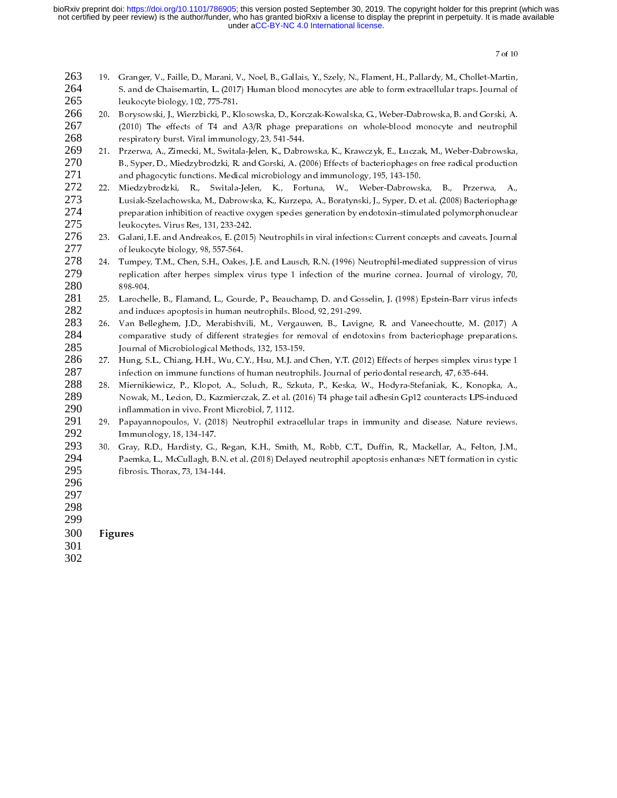- 263 264 265
- 266 267 268
- 269 270 271
- 5. and de Chaisemartin, L. (2017) Human blood monocytes are able to form extracellular traps. Journal of lettocyte biology, 102, 775-761.<br>
20. Borysowski, J., Wierzbicki, P., Kiesowska, D., Korczak-Kowalska, G., Weber-Dabr Election (Fig. 2775-781.<br>
Shoryneski, J. Wierzbicki, P., Klosowska, D., Korzzak-Kowalska, G., Weber-Dabrowska, B. and Gorski, A.<br>
Borysowski, J. Wierzbicki, P., Klosowska, D., Korzzak-Kowalska, G., Weber-Dabrowska, B. and Factory Patter Boysowski, J., Wierzbicki, P., Kl<br>Borysowski, J., Wierzbicki, P., Kl<br>(2010) The effects of T4 and<br>respiratory burst. Viral immuno<br>Przerwa, A., Zimecki, M., Switala-<br>B., Syper, D., Miedzybrodzki, R.<br>and phago (2010) The effects of T4 and A3/R phage preparations on whole-blood monocyte and neutrophil<br>
reperatory burst. Viral immunology, 23, 541-544.<br>
Przerwa, A., Zimecki, M., Switala-Jelen, K., Dabrowska, K., Krawczyk, E., Lucz (2011) The effects of Maximum (1910) The effects of Table and Maximum of Payage preparation but the Preparation Maximum (A), Zimetzk, M, Switted John R, B, Syper, D, Miedzybrodzki, R, and Gorski, A, (2006) Effects of bader Przerwa, A., Zimecki, M., Switala-Jelen, K., Dabrondon, Przerwa, A., Zimecki, M., Switala-Jelen, K., Dabrondon, S., Syper, D., Miedzybrodzki, R. and Gorski, A. (2) and phagocytic functions. Medical microbiology a Miedzybro B., Syper, D., Miedzybrodzki, R. and Gorski, A. (2006) Effects of bacteriophages on free radical production<br>and phagocyit functions. Medical microbiology and immunology, 195, 143-150.<br>Miedzybrodzki, R., Switala-Jelen, K., and phagocytic functions. Medical microbiology and immunology, 195, 143-150.<br>Miedzybrodzki, R. Switala-Jelen, K., Fortuna, W., Weber-Datvovska, B., Przerwa, A.,<br>Miedzybrodzki, R., Switala-Jelen, K., Fortuna, W., Weber-Datv Miedzybrodzki, R., Switala-Jelen, K., Fortuna, W., Weber-Dabrowsk<br>Lusiak-Szelachowska, M., Dabrowska, K., Kurzepa, A., Boratynski, J., Syper, D.e<br>Lusiak-Szelachowska, M., Dabrowska, K., Kurzepa, A., Boratynski, J., Syper, 272 22. Lusiak-Szelachowska, M., Dabrowska, K., Kurzepa, A., Boratynski, J., Syper, D. et al. (2008) Badenophage<br>
preparation inhibition of reactive oxygen species generation by endotoxin-stimulated polymorphonuclear<br>
22. Gala 273 274 275
- 276 277
- preparation inhibition of reactive oxygen species generation by endotoxin-stimulated polymorphonuclear<br>leukocyte Sirus Res, 131, 233-342.<br>Calani, I.E. and Andreakos, E. (2015) Neutrophils in viral infections: Current conce 1<br>
Prediction in LE. and Andreackos, E. (2015) Neutrophils in viral infections: Current concepts and caveats. Journal<br>
Geleukocyte biology, 98, 557-564.<br>
Tumpey, T.M., Chen, S.H., Oakes, J.E. and Lausch, R.N. (1996) Neutro Galani, I.E. and Andreakos, E. (2015<br>of leukocyte biology, 98, 557-564.<br>Tumpey, T.M., Chen, S.H., Oakes, J.<br>replication after herpes simplex vi<br>898-904.<br>Larochelle, B., Flamand, L., Gourde<br>and induces apoptosis in human ne of leukocyte biology, 98, 557-564.<br>
24. Tumpey, T.M., Chen, S.H., Oakes, J.E. and Lausch, R.N. (1996) Neutrophil-mediated suppression of virus<br>
replication dert herpes simplex virus type 1 infection of the murine cornea. J Tumpey, T.M., Chen, S.H., Oakes<br>replication after herpes simplex<br>898-904.<br>Larochelle, B., Flamand, L., Gour<br>and induces apoptosis in human 1<br>Van Belleghem, J.D., Merabishv<br>comparative study of different s<br>Journal of Microb 278 279 280
- 281 282
- Larochel<br>and indu<br>Van Bell<br>compara<br>Journal c<br>Hung, S.<br>infection<br>Mierniki<br>Nowak,<br>inflammuno<br>Gray, R.<br>Paemka,<br>fibrosis.<br>inflams. Van Belleghem, J.D., Merabishvili, M., Vergauwen, B., Lavig comparative study of different strategies for removal of endot<br>Journal of Microbiological Methods, 132, 153-159.<br>Hung, S.L., Chiang, H.H., Wu, C.Y., Hsu, M.J. and 283 284 285
- 286 287
- 25. Interaction after herpes simplex virus type 1 infection of the murine cornea. Journal of virology, 70, 89.904.<br>
26. Larochelle, B., Flamand, L., Gourde, P., Beauchamp, D. and Gosselin, J. (1998) Epstein-Barr virus infe 898-904.<br>
898-904.<br>
898-904.<br>
2017-A Larochelle, B., Flamand, L., Gourde, P., Beauchamp, D. and Gosselin, J. (1998) Epstein-Barr virus infects<br>
and induces apoptosis in human neutrophils. Blood, 92, 291-299.<br>
Van Belleghem 26. Van Belleghen, J.D., Menshishvili, M., Vergauwen, B., Lavigne, R. and Vaneechoutte, M. (2017) A comparative study of different strategies for removal of endotoxins from barechoutte, M. (2017) A comparative study of dif comparative study of different strategies for removal of endotoxins from bacteriophage preparations.<br>
Journal of Microbiological Methods, 132, 153-159.<br>
Hung, S.L., Chiang, H.H., Wu, C.Y., Hsu, M.J. and Chen, Y.T. (2012) E Journal of Microbiological Methods, 132, 153-159.<br>Journal of Microbiological Methods, 132, 153-159.<br>Hung, S.L., Chiang, Y.H., W.L.C.Y., Hau, A.H. Carl Chen, Y.T. (2012) Effects of herpes simplex wirus type 1<br>infection on i Hung, S.L., Chiang, H.H., Wu, C.Y., Hsu, M.J. and<br>infection on immune functions of human neutropl<br>Miernikiewicz, P., Klopot, A., Soluch, R., Szkut<br>Nowak, M., Lecion, D., Kazmierczak, Z. et al. (201<br>inflammation in vivo. Fr infection on immune functions of human neutrophils. Journal of periodontal research, 47, 635.644.<br>
28. Mierrikiewicz, P., Klopuch, A., Soludh, R., Sekub, P., Keska, W., Hodyra-Stefaniak, K., Konopka, A., Newsk, M., Lecton, Miernikiewicz, P., Klopot, A., Soluch, R., Szkuta, P., Keska, W., Hodyra-Stefaniak, K., Konop<br>Nowak, M., Ledon, D., Kazmierczak, Z. et al. (2016) T4 phage tail adhesin Gp12 counteracts LPS-inflammation in vivo. Front Micro 288 289 290
- 291 292
- Nowak, M., Lecion, D., Kazmierczak, Z. et al. (2016) T4 phage tail adhesin Gp12 counteracts LPS-induced<br>inflammation in vivo. From Microbiol, 7, 1112.<br>Papayannopoulos, V. (2018) Neutrophil extracellular traps in immunity a inflammation in vivo. Front Microbiol, 7, 1112.<br>Papayannopoulos, V. (2018) Neutrophil extracellular traps in immunity and disease. Nature reviews.<br>Immunology, 18, 194-147.<br>Gray, R.D., Hardisty, G., Regan, K.H., Smith, M., Papayannopoulos, V. (2018) Neutrophil extra<br>Immunology, 18, 134-147.<br>Gray, R.D., Hardisty, G., Regan, K.H., Smith<br>Paemka, L., McCullagh, B.N. et al. (2018) Delay<br>fibrosis. Thorax, 73, 134-144. 29. Papayan, N. S., 2022. Papayannopolis, V. (2018) Neutrophil extracellular transfer in interviews. N. (2018) Neutrophil extracellular transfer in immunology, 18, 134-147.<br>
Papaka, L., MCCullagh, B.N. et al. (2018) Delaye Cray, R.D., Hardisty, G., Paemka, L., McCullagh, B.<br>Framka, L., McCullagh, B.<br>fibrosis. Thorax, 73, 134-147. 293 20. Franka, L., McCulagh, B.N. et al. (2018) Delayed neutrophil apoptosis enhances NET formation in cystic fibrosis. Thorax, 73, 134-144. 294  $\text{Rip}_2$ . McCullagh, B.N. et al. (2018) Delayed neutrophilic neutrophil apoptosis entrophil apoptosis entrophil apoptosis entrophil apoptosis entrophil apoptosis entrophil apoptosis entrophil apoptosis entrophilical apop 295
- 296
- 297
- 298
- 299
- fibrosis. Thorax, 73, 134-144. 300 Figures
- 301
- 302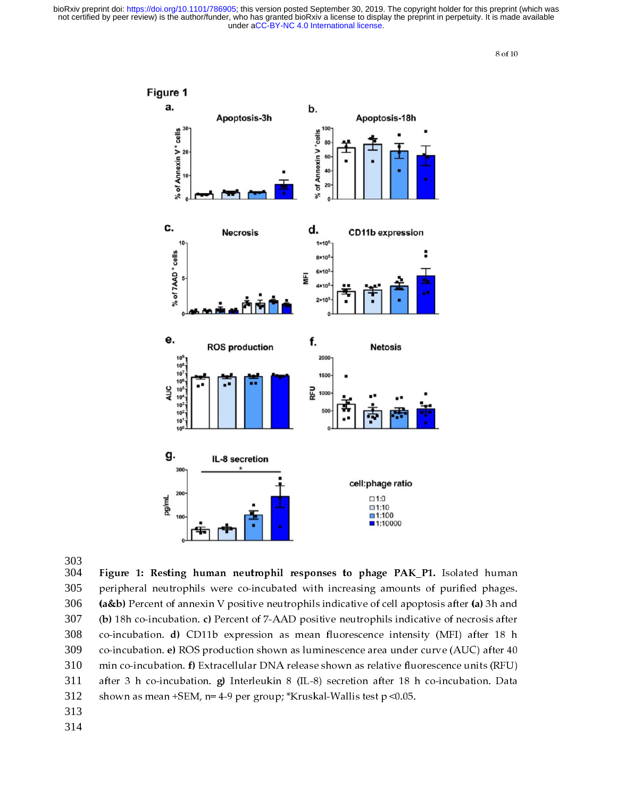

303 304 Figure 1: Resting human neutrophil responses to phage PAK\_P1. Isolated human<br>305 peripheral neutrophils were co-incubated with increasing amounts of purified phages.<br>306 (a&b) Percent of annexin V positive neutrophils 305 **(a&b)** Percent of annexin V positive neutrophils indicative of cell apoptosis after (a) 3h and (b) 18h co-incubation. c) Percent of 7-AAD positive neutrophils indicative of necrosis after co-incubation. d) CD11b expressi 306 (a&b) Percent of annexin V positive neutrophils indicative of cell apoptosis after (a) 3h and<br>307 (b) 18h co-incubation. c) Percent of 7-AAD positive neutrophils indicative of necrosis after<br>308 co-incubation. d) CD11b 307 (b) 18h co-incubation. c) Percent of 7-AAD positive neutrophils indicative of necrosis after co-incubation. d) CD11b expression as mean fluorescence intensity (MFI) after 18 h co-incubation. e) ROS production shown as 308 co-incubation. a) CD11b expression as mean huorescence intensity (MFI) after 18 h<br>co-incubation. e) ROS production shown as luminescence area under curve (AUC) after 40<br>min co-incubation. f) Extracellular DNA release show 309 co-incubation. e) ROS production shown as fuminescence area under curve (AOC) after 40 min co-incubation. f) Extracellular DNA release shown as relative fluorescence units (RFU) after 3 h co-incubation. g) Interleukin 8 ( 310 min co-incubation. f) Extracellular DNA release shown as relative hubrescence units (RFU)<br>after 3 h co-incubation. g) Interleukin 8 (IL-8) secretion after 18 h co-incubation. Data<br>shown as mean +SEM, n= 4-9 per group; \*Kr 311 after 3 h co-incubation. g) Interleukin 8 (IL-9) secretion after 18 h co-incubation. Data<br>shown as mean +SEM, n= 4-9 per group; \*Kruskal-Wallis test p <0.05. 312  $\begin{array}{cccc} \text{S} & \text{S} & \text{S} & \text{S} & \text{S} & \text{S} & \text{S} & \text{S} & \text{S} & \text{S} & \text{S} & \text{S} & \text{S} & \text{S} & \text{S} & \text{S} & \text{S} & \text{S} & \text{S} & \text{S} & \text{S} & \text{S} & \text{S} & \text{S} & \text{S} & \text{S} & \text{S} & \text{S} & \text{S} & \text{S} & \text{S} & \text{S} & \text{S} & \text{S} & \text{S} & \text{$ 313

- 
- 314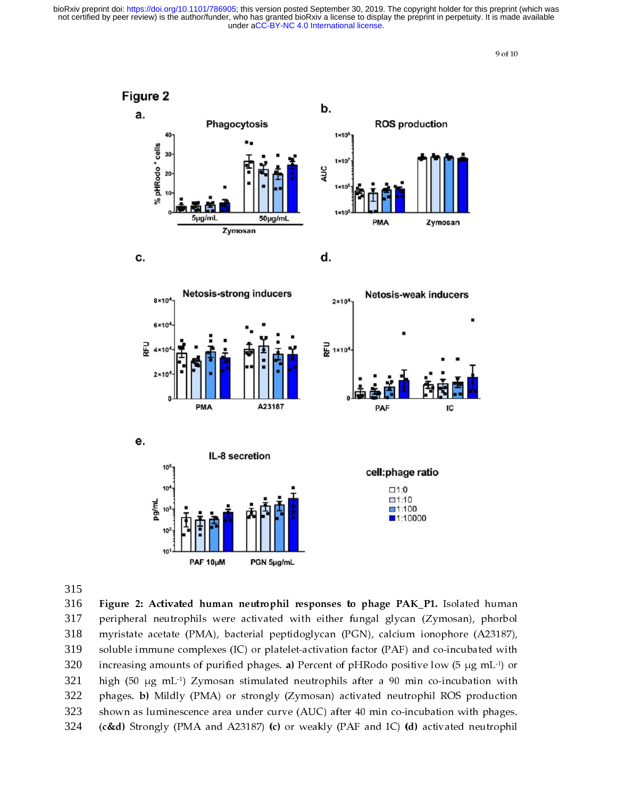

315

316 **Figure 2:** Activated human neutrophil responses to phage PAK\_P1. Isolated human peripheral neutrophils were activated with either fungal glycan (Zymosan), phorbol myristate acetate (PMA), bacterial peptidoglycan (PGN 317 myristate acetate (PMA), bacterial peptidoglycan (PGN), calcium ionophore (A23187), soluble immune complexes (IC) or platelet-activation factor (PAF) and co-incubated with increasing amounts of purified phages. a) Percent 318 soluble immune complexes (IC) or platelet-activation factor (PAF) and co-incubated with increasing amounts of purified phages. a) Percent of pHRodo positive low (5 µg mL<sup>-1)</sup> or high (50 µg mL<sup>-1</sup>) Zymosan stimulated neut 319 increasing amounts of purified phages. **a**) Percent of pHRodo positive low (5  $\mu$ g mL<sup>-1</sup>) or high (50  $\mu$ g mL<sup>-1</sup>) Zymosan stimulated neutrophils after a 90 min co-incubation with phages. **b**) Mildly (PMA) or strongly increasing amounts of purified phages. a) Percent of pHRodo positive low (5  $\mu$ g mL<sup>-1</sup>) or high (50  $\mu$ g mL<sup>-1</sup>) Zymosan stimulated neutrophils after a 90 min co-incubation with phages. **b**) Mildly (PMA) or strongly (Z high (50  $\mu$ g mL<sup>-1</sup>) Zymosan stimulated neutrophils after a 90 min co-incubation with phages. **b)** Mildly (PMA) or strongly (Zymosan) activated neutrophil ROS production shown as luminescence area under curve (AUC) afte 322 phages. b) Mildly (PMA) or strongly (Zymosan) activated neutrophil ROS production<br>shown as luminescence area under curve (AUC) after 40 min co-incubation with phages.<br>(c&d) Strongly (PMA and A23187) (c) or weakly (PAF and 323  $(c\&d)$  Strongly (PMA and A23187) (c) or weakly (PAF and IC) (d) activated neutrophil  $324$  (c&d) Strongly (PMA and A23187) (c) or weakly (PAF and IC) (d) activated neutrophil<br> $324$